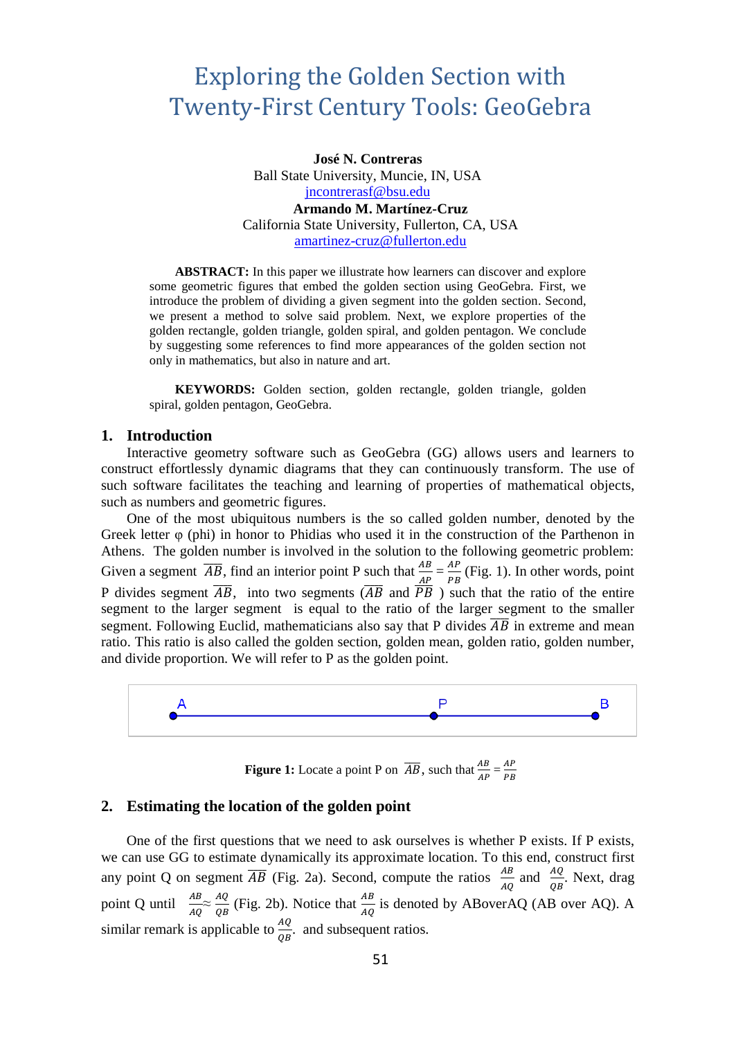# Exploring the Golden Section with Twenty-First Century Tools: GeoGebra

**José N. Contreras** Ball State University, Muncie, IN, USA [jncontrerasf@bsu.edu](mailto:jncontrerasf@bsu.edu) **Armando M. Martínez-Cruz** California State University, Fullerton, CA, USA [amartinez-cruz@fullerton.edu](mailto:amartinez-cruz@fullerton.edu)

**ABSTRACT:** In this paper we illustrate how learners can discover and explore some geometric figures that embed the golden section using GeoGebra. First, we introduce the problem of dividing a given segment into the golden section. Second, we present a method to solve said problem. Next, we explore properties of the golden rectangle, golden triangle, golden spiral, and golden pentagon. We conclude by suggesting some references to find more appearances of the golden section not only in mathematics, but also in nature and art.

**KEYWORDS:** Golden section, golden rectangle, golden triangle, golden spiral, golden pentagon, GeoGebra.

#### **1. Introduction**

Interactive geometry software such as GeoGebra (GG) allows users and learners to construct effortlessly dynamic diagrams that they can continuously transform. The use of such software facilitates the teaching and learning of properties of mathematical objects, such as numbers and geometric figures.

One of the most ubiquitous numbers is the so called golden number, denoted by the Greek letter φ (phi) in honor to Phidias who used it in the construction of the Parthenon in Athens. The golden number is involved in the solution to the following geometric problem: Given a segment  $\overline{AB}$ , find an interior point P such that  $\frac{AB}{AP} = \frac{AP}{PB}$  $\frac{AF}{PB}$  (Fig. 1). In other words, point P divides segment  $\overline{AB}$ , into two segments  $(\overline{AB}$  and  $\overline{PB}$  ) such that the ratio of the entire segment to the larger segment is equal to the ratio of the larger segment to the smaller segment. Following Euclid, mathematicians also say that P divides  $\overline{AB}$  in extreme and mean ratio. This ratio is also called the golden section, golden mean, golden ratio, golden number, and divide proportion. We will refer to P as the golden point.



**Figure 1:** Locate a point P on  $\overline{AB}$ , such that  $\frac{AB}{AP} = \frac{AP}{PB}$ PB

#### **2. Estimating the location of the golden point**

One of the first questions that we need to ask ourselves is whether P exists. If P exists, we can use GG to estimate dynamically its approximate location. To this end, construct first any point Q on segment  $\overline{AB}$  (Fig. 2a). Second, compute the ratios  $\frac{AB}{AB}$  $rac{AB}{AQ}$  and  $rac{AQ}{QB}$  $\frac{AQ}{QB}$ . Next, drag point Q until  $\frac{AB}{AQ} \approx \frac{AQ}{QB}$  $\frac{AQ}{QB}$  (Fig. 2b). Notice that  $\frac{AB}{AQ}$  is denoted by ABoverAQ (AB over AQ). A similar remark is applicable to  $\frac{AQ}{QR}$  $\frac{AQ}{QB}$ . and subsequent ratios.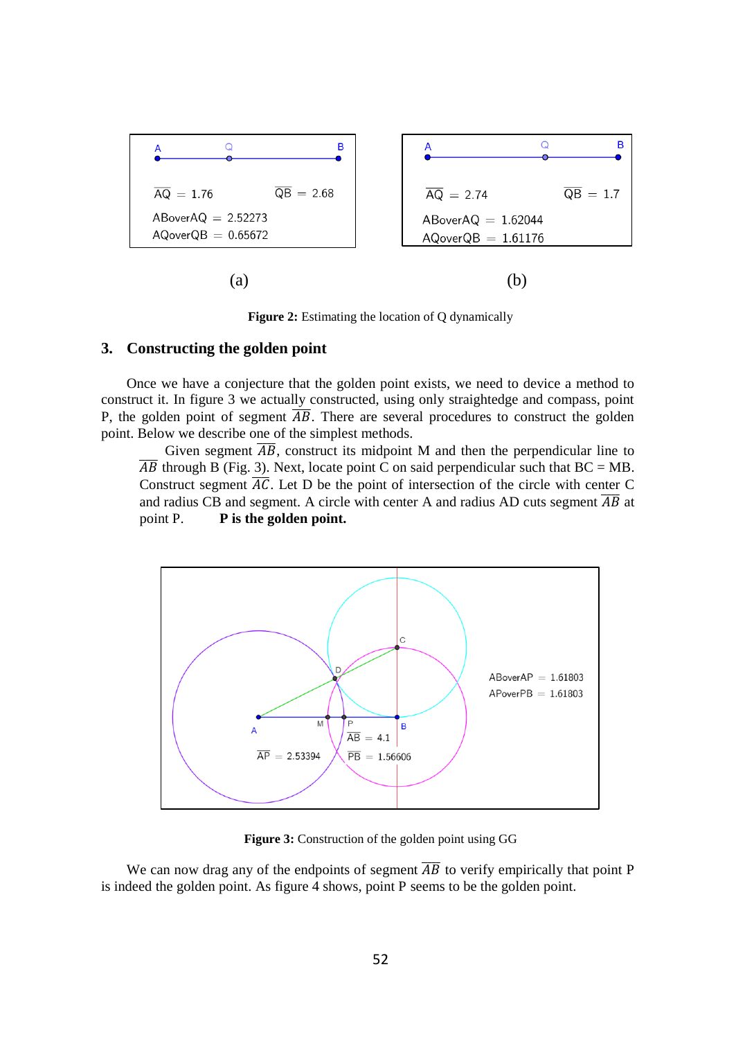

**Figure 2:** Estimating the location of Q dynamically

#### **3. Constructing the golden point**

Once we have a conjecture that the golden point exists, we need to device a method to construct it. In figure 3 we actually constructed, using only straightedge and compass, point P, the golden point of segment  $\overline{AB}$ . There are several procedures to construct the golden point. Below we describe one of the simplest methods.

Given segment  $\overline{AB}$ , construct its midpoint M and then the perpendicular line to  $\overline{AB}$  through B (Fig. 3). Next, locate point C on said perpendicular such that BC = MB. Construct segment  $\overline{AC}$ . Let D be the point of intersection of the circle with center C and radius CB and segment. A circle with center A and radius AD cuts segment  $\overline{AB}$  at point P. **P** is the golden point.



**Figure 3:** Construction of the golden point using GG

We can now drag any of the endpoints of segment  $\overline{AB}$  to verify empirically that point P is indeed the golden point. As figure 4 shows, point P seems to be the golden point.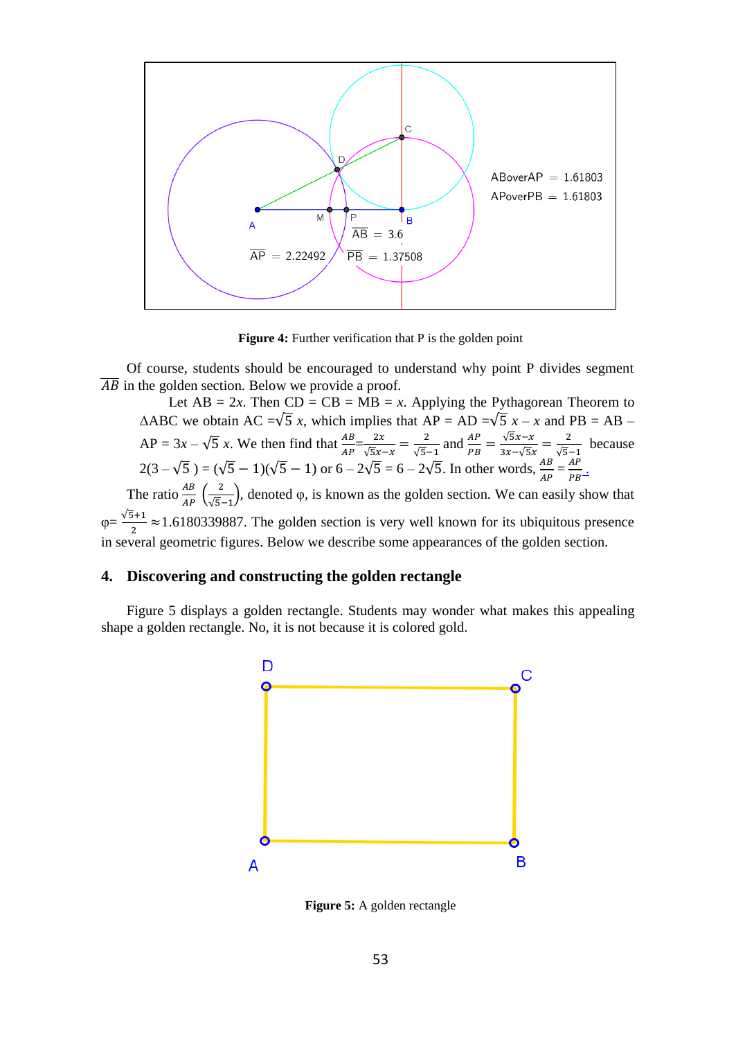

**Figure 4:** Further verification that P is the golden point

Of course, students should be encouraged to understand why point P divides segment  $\overline{AB}$  in the golden section. Below we provide a proof.

Let  $AB = 2x$ . Then  $CD = CB = MB = x$ . Applying the Pythagorean Theorem to  $\triangle$ ABC we obtain AC = $\sqrt{5}$  *x*, which implies that AP = AD = $\sqrt{5}$  *x* – *x* and PB = AB –  $AP = 3x - \sqrt{5}x$ . We then find that  $\frac{AB}{AP} = \frac{2x}{\sqrt{5}x}$ .  $\frac{2x}{\sqrt{5}x-x}=\frac{2}{\sqrt{5}}$  $\frac{2}{\sqrt{5}-1}$  and  $\frac{AP}{PB} = \frac{\sqrt{5x-x}}{3x-\sqrt{5x}}$  $\frac{\sqrt{5x-x}}{3x-\sqrt{5x}}=\frac{2}{\sqrt{5}}$  $\frac{2}{\sqrt{5}-1}$  because  $2(3 - \sqrt{5}) = (\sqrt{5} - 1)(\sqrt{5} - 1)$  or  $6 - 2\sqrt{5} = 6 - 2\sqrt{5}$ . In other words,  $\frac{AB}{4B}$  $\frac{AB}{AP} = \frac{AP}{PB}$  $\frac{AF}{PB}$ . The ratio  $\frac{AB}{AP}$   $\left(\frac{2}{\sqrt{5}}\right)$  $\frac{2}{\sqrt{5}-1}$ , denoted φ, is known as the golden section. We can easily show that  $\varphi = \frac{\sqrt{5}+1}{2}$  $\frac{2+1}{2}$  ≈1.6180339887. The golden section is very well known for its ubiquitous presence

## **4. Discovering and constructing the golden rectangle**

Figure 5 displays a golden rectangle. Students may wonder what makes this appealing shape a golden rectangle. No, it is not because it is colored gold.

in several geometric figures. Below we describe some appearances of the golden section.



**Figure 5:** A golden rectangle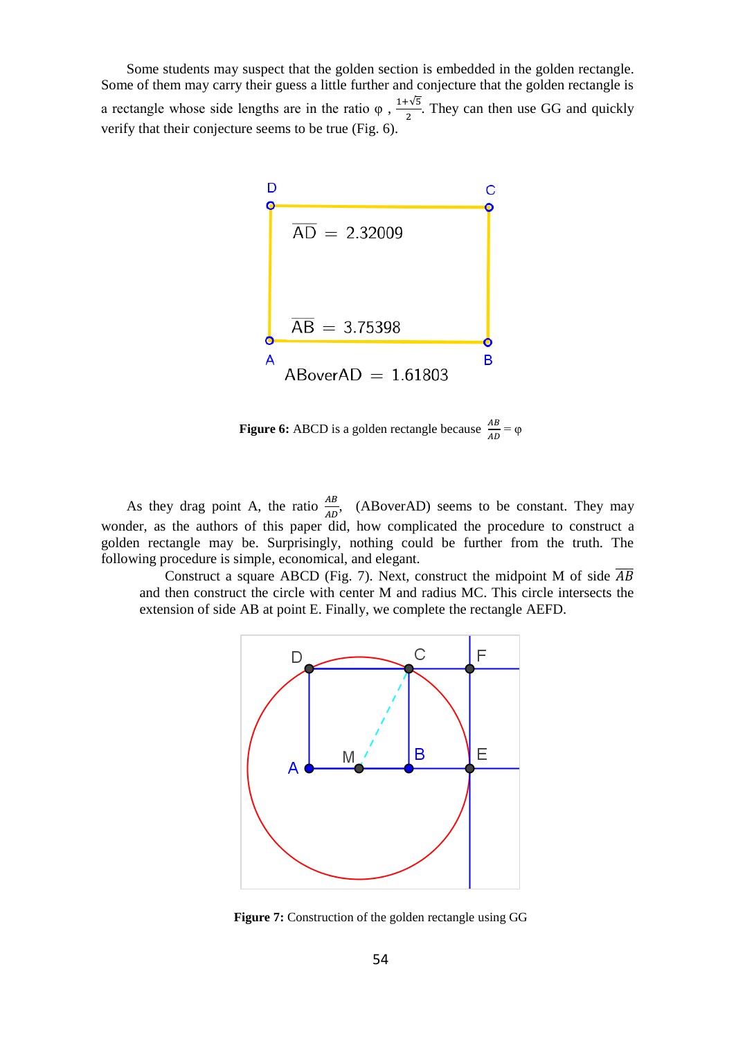Some students may suspect that the golden section is embedded in the golden rectangle. Some of them may carry their guess a little further and conjecture that the golden rectangle is a rectangle whose side lengths are in the ratio  $\varphi$ ,  $\frac{1+\sqrt{5}}{2}$  $\frac{1}{2}$ . They can then use GG and quickly verify that their conjecture seems to be true (Fig. 6).



**Figure 6:** ABCD is a golden rectangle because  $\frac{AB}{AD} = \varphi$ 

As they drag point A, the ratio  $\frac{AB}{AD}$ , (ABoverAD) seems to be constant. They may wonder, as the authors of this paper did, how complicated the procedure to construct a golden rectangle may be. Surprisingly, nothing could be further from the truth. The following procedure is simple, economical, and elegant.

Construct a square ABCD (Fig. 7). Next, construct the midpoint M of side  $\overline{AB}$ and then construct the circle with center M and radius MC. This circle intersects the extension of side AB at point E. Finally, we complete the rectangle AEFD.



**Figure 7:** Construction of the golden rectangle using GG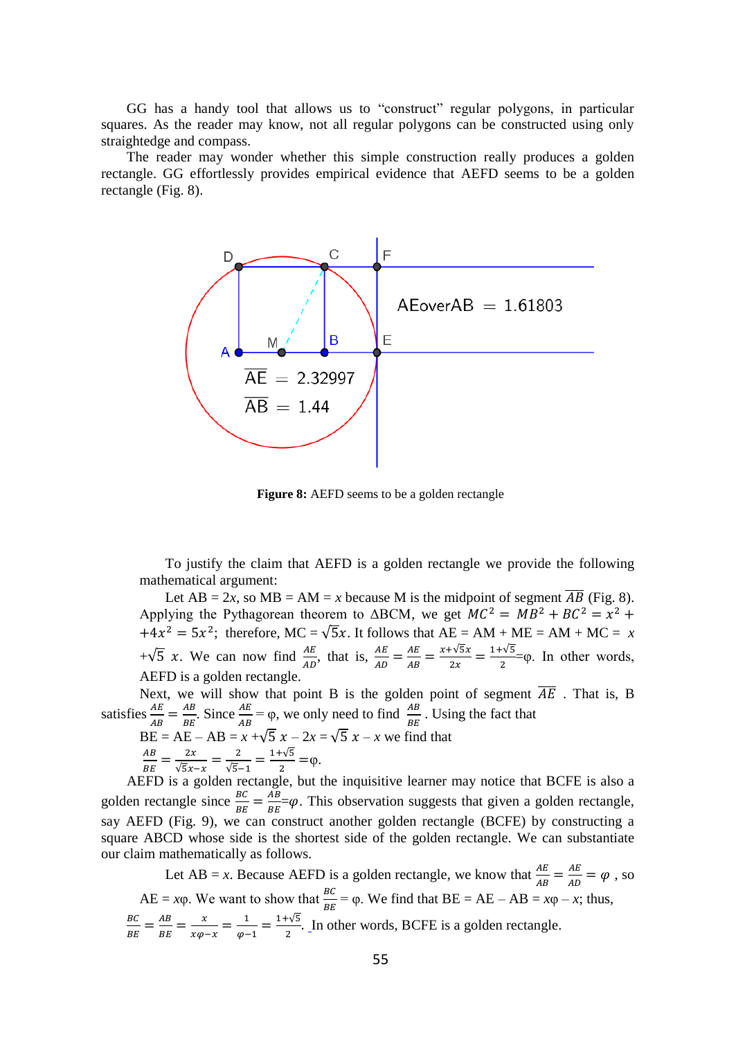GG has a handy tool that allows us to "construct" regular polygons, in particular squares. As the reader may know, not all regular polygons can be constructed using only straightedge and compass.

The reader may wonder whether this simple construction really produces a golden rectangle. GG effortlessly provides empirical evidence that AEFD seems to be a golden rectangle (Fig. 8).



**Figure 8:** AEFD seems to be a golden rectangle

To justify the claim that AEFD is a golden rectangle we provide the following mathematical argument:

Let AB = 2*x*, so MB = AM = *x* because M is the midpoint of segment  $\overline{AB}$  (Fig. 8). Applying the Pythagorean theorem to  $\triangle BCM$ , we get  $MC^2 = MB^2 + BC^2 = x^2 +$  $+4x^2 = 5x^2$ ; therefore, MC =  $\sqrt{5}x$ . It follows that AE = AM + ME = AM + MC = *x* + $\sqrt{5}$  x. We can now find  $\frac{AE}{AD}$ , that is,  $\frac{AE}{AD} = \frac{AE}{AB}$  $\frac{AE}{AB} = \frac{x + \sqrt{5}x}{2x}$  $\frac{1+\sqrt{5x}}{2x} = \frac{1+\sqrt{5}}{2}$  $\frac{1}{2}$  = $\varphi$ . In other words, AEFD is a golden rectangle.

Next, we will show that point B is the golden point of segment  $\overline{AE}$  . That is, B satisfies  $\frac{AE}{AB} = \frac{AB}{BE}$  $\frac{AB}{BE}$ . Since  $\frac{AE}{AB} = \varphi$ , we only need to find  $\frac{AB}{BE}$  $\frac{AB}{BE}$ . Using the fact that

BE = AE – AB = 
$$
x + \sqrt{5}x - 2x = \sqrt{5}x - x
$$
 we find that  
\n $\frac{AB}{BE} = \frac{2x}{\sqrt{5}x - x} = \frac{2}{\sqrt{5} - 1} = \frac{1 + \sqrt{5}}{2} = \varphi.$ 

AEFD is a golden rectangle, but the inquisitive learner may notice that BCFE is also a golden rectangle since  $\frac{BC}{BE} = \frac{AB}{BE}$  $\frac{AB}{BE} = \varphi$ . This observation suggests that given a golden rectangle, say AEFD (Fig. 9), we can construct another golden rectangle (BCFE) by constructing a square ABCD whose side is the shortest side of the golden rectangle. We can substantiate our claim mathematically as follows.

Let AB = *x*. Because AEFD is a golden rectangle, we know that  $\frac{AE}{AB} = \frac{AE}{AD}$  $\frac{AE}{AD} = \varphi$ , so  $AE = x\varphi$ . We want to show that  $\frac{BC}{BE} = \varphi$ . We find that  $BE = AE - AB = x\varphi - x$ ; thus, ВC  $\frac{BC}{BE} = \frac{AB}{BE}$  $\frac{AB}{BE} = \frac{x}{x\varphi}$  $\frac{x}{x\varphi-x}=\frac{1}{\varphi-x}$  $\frac{1}{\varphi-1} = \frac{1+\sqrt{5}}{2}$  $\frac{1}{2}$ . In other words, BCFE is a golden rectangle.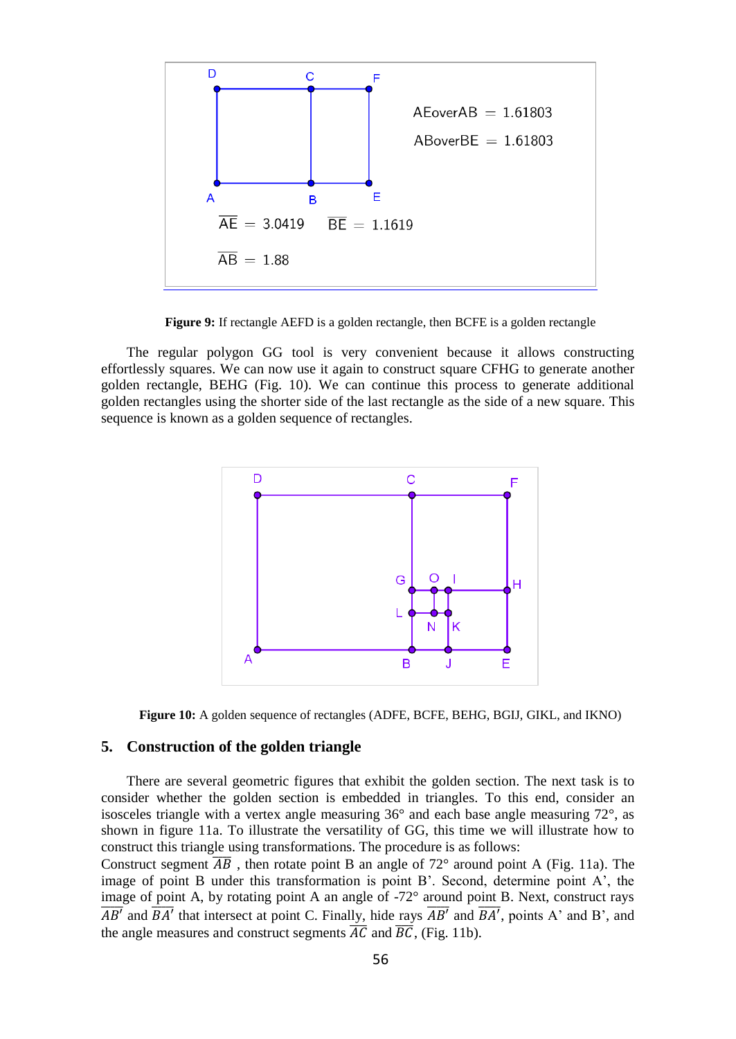

**Figure 9:** If rectangle AEFD is a golden rectangle, then BCFE is a golden rectangle

The regular polygon GG tool is very convenient because it allows constructing effortlessly squares. We can now use it again to construct square CFHG to generate another golden rectangle, BEHG (Fig. 10). We can continue this process to generate additional golden rectangles using the shorter side of the last rectangle as the side of a new square. This sequence is known as a golden sequence of rectangles.





#### **5. Construction of the golden triangle**

There are several geometric figures that exhibit the golden section. The next task is to consider whether the golden section is embedded in triangles. To this end, consider an isosceles triangle with a vertex angle measuring  $36^{\circ}$  and each base angle measuring  $72^{\circ}$ , as shown in figure 11a. To illustrate the versatility of GG, this time we will illustrate how to construct this triangle using transformations. The procedure is as follows:

Construct segment  $\overline{AB}$ , then rotate point B an angle of 72° around point A (Fig. 11a). The image of point B under this transformation is point B'. Second, determine point A', the image of point A, by rotating point A an angle of -72° around point B. Next, construct rays  $\overline{AB'}$  and  $\overline{BA'}$  that intersect at point C. Finally, hide rays  $\overline{AB'}$  and  $\overline{BA'}$ , points A' and B', and the angle measures and construct segments  $\overline{AC}$  and  $\overline{BC}$ , (Fig. 11b).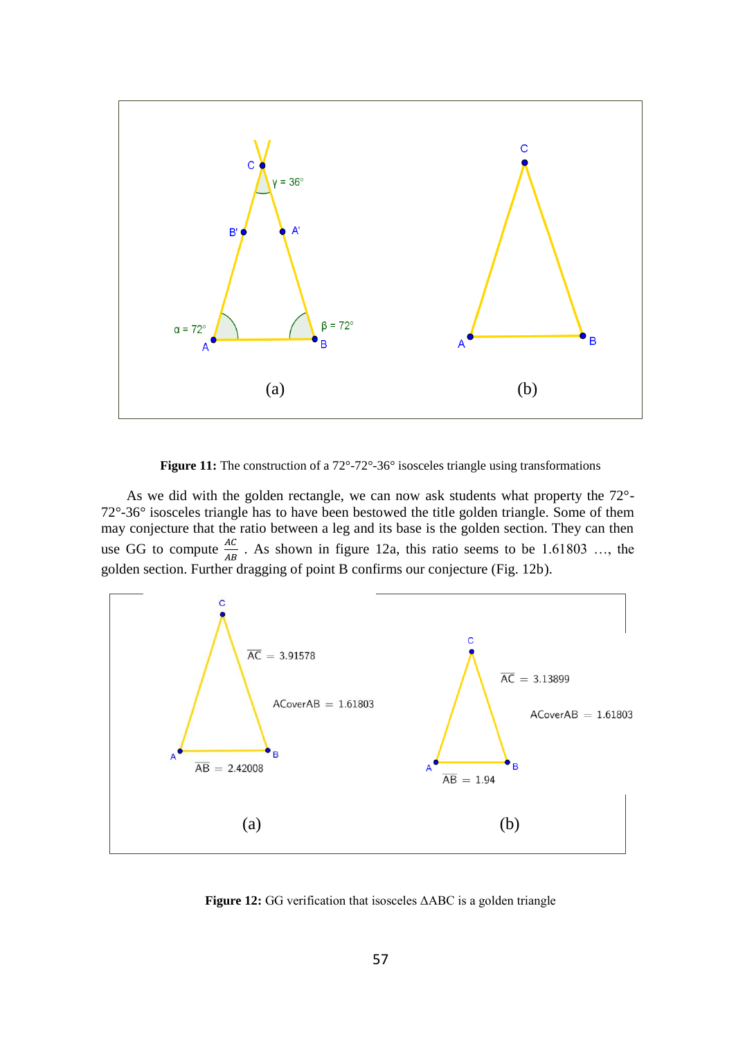

Figure 11: The construction of a 72°-72°-36° isosceles triangle using transformations

As we did with the golden rectangle, we can now ask students what property the 72°- 72°-36° isosceles triangle has to have been bestowed the title golden triangle. Some of them may conjecture that the ratio between a leg and its base is the golden section. They can then use GG to compute  $\frac{AC}{AB}$ . As shown in figure 12a, this ratio seems to be 1.61803 ..., the golden section. Further dragging of point B confirms our conjecture (Fig. 12b).



**Figure 12:** GG verification that isosceles ΔABC is a golden triangle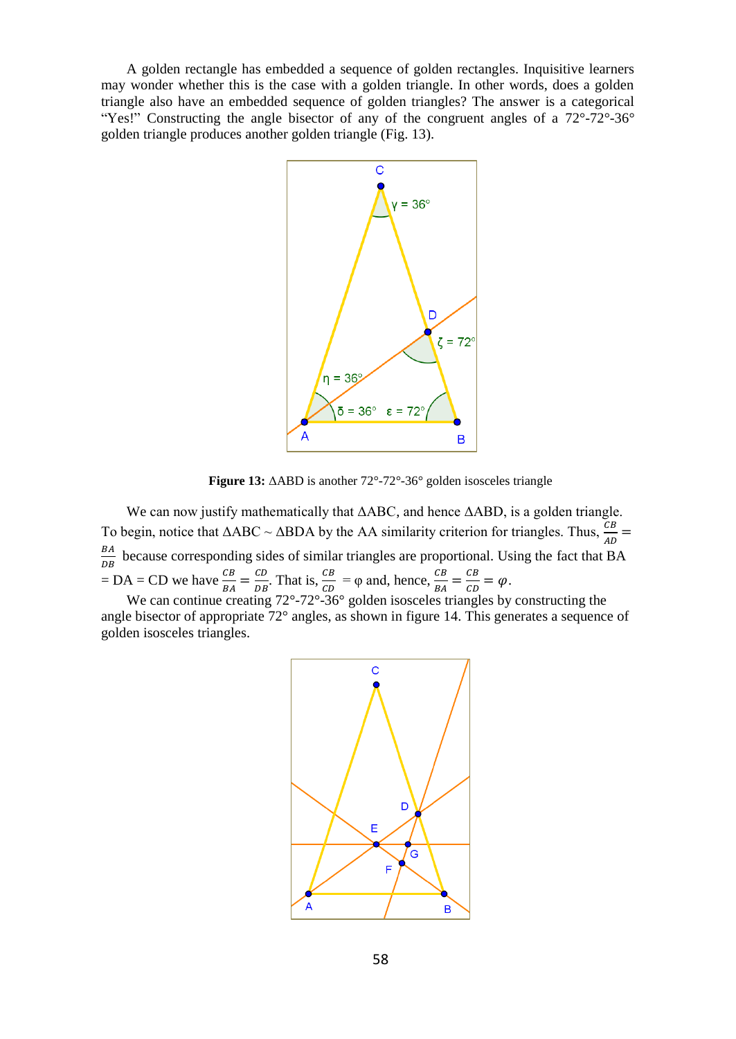A golden rectangle has embedded a sequence of golden rectangles. Inquisitive learners may wonder whether this is the case with a golden triangle. In other words, does a golden triangle also have an embedded sequence of golden triangles? The answer is a categorical "Yes!" Constructing the angle bisector of any of the congruent angles of a 72°-72°-36° golden triangle produces another golden triangle (Fig. 13).



**Figure 13:** ΔABD is another 72°-72°-36° golden isosceles triangle

We can now justify mathematically that ΔABC, and hence ΔABD, is a golden triangle. To begin, notice that  $\triangle ABC \sim \triangle BDA$  by the AA similarity criterion for triangles. Thus,  $\frac{CB}{AD}$  = BA  $\frac{bA}{DB}$  because corresponding sides of similar triangles are proportional. Using the fact that BA  $= DA = CD$  we have  $\frac{CB}{BA} = \frac{CD}{DB}$  $\frac{CD}{DB}$ . That is,  $\frac{CB}{CD} = \varphi$  and, hence,  $\frac{CB}{BA} = \frac{CB}{CD}$  $\frac{c}{c} = \varphi.$ 

We can continue creating 72°-72°-36° golden isosceles triangles by constructing the angle bisector of appropriate 72° angles, as shown in figure 14. This generates a sequence of golden isosceles triangles.

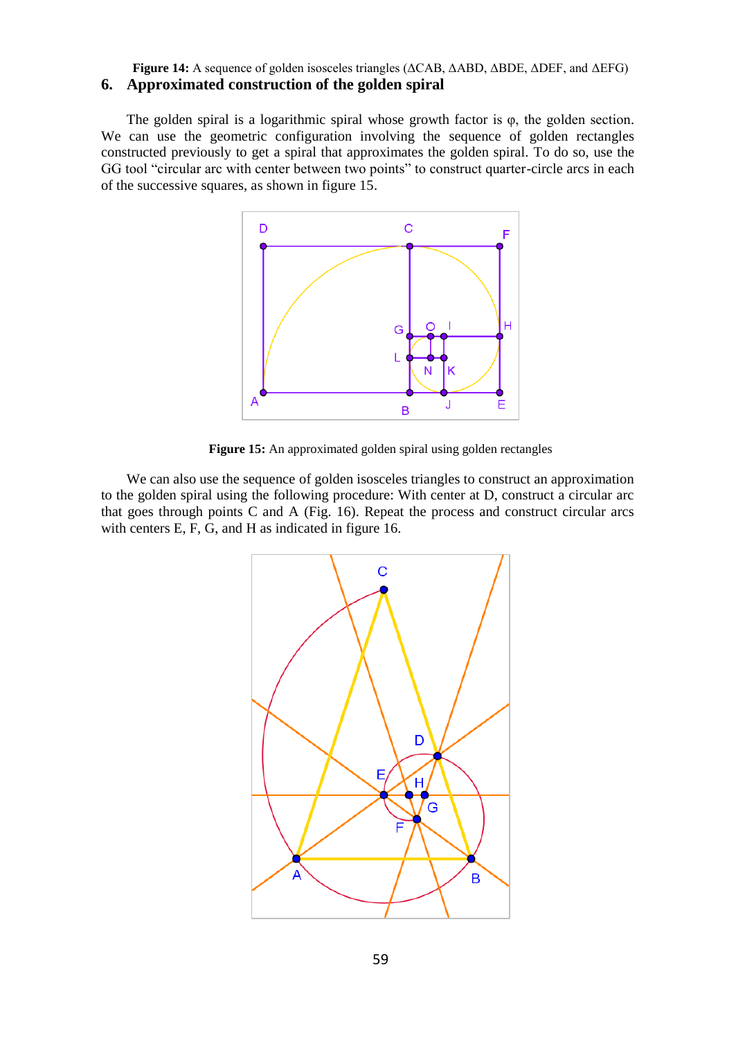#### **Figure 14:** A sequence of golden isosceles triangles (ΔCAB, ΔABD, ΔBDE, ΔDEF, and ΔEFG) **6. Approximated construction of the golden spiral**

The golden spiral is a logarithmic spiral whose growth factor is  $\varphi$ , the golden section. We can use the geometric configuration involving the sequence of golden rectangles constructed previously to get a spiral that approximates the golden spiral. To do so, use the GG tool "circular arc with center between two points" to construct quarter-circle arcs in each of the successive squares, as shown in figure 15.



**Figure 15:** An approximated golden spiral using golden rectangles

We can also use the sequence of golden isosceles triangles to construct an approximation to the golden spiral using the following procedure: With center at D, construct a circular arc that goes through points C and A (Fig. 16). Repeat the process and construct circular arcs with centers E, F, G, and H as indicated in figure 16.

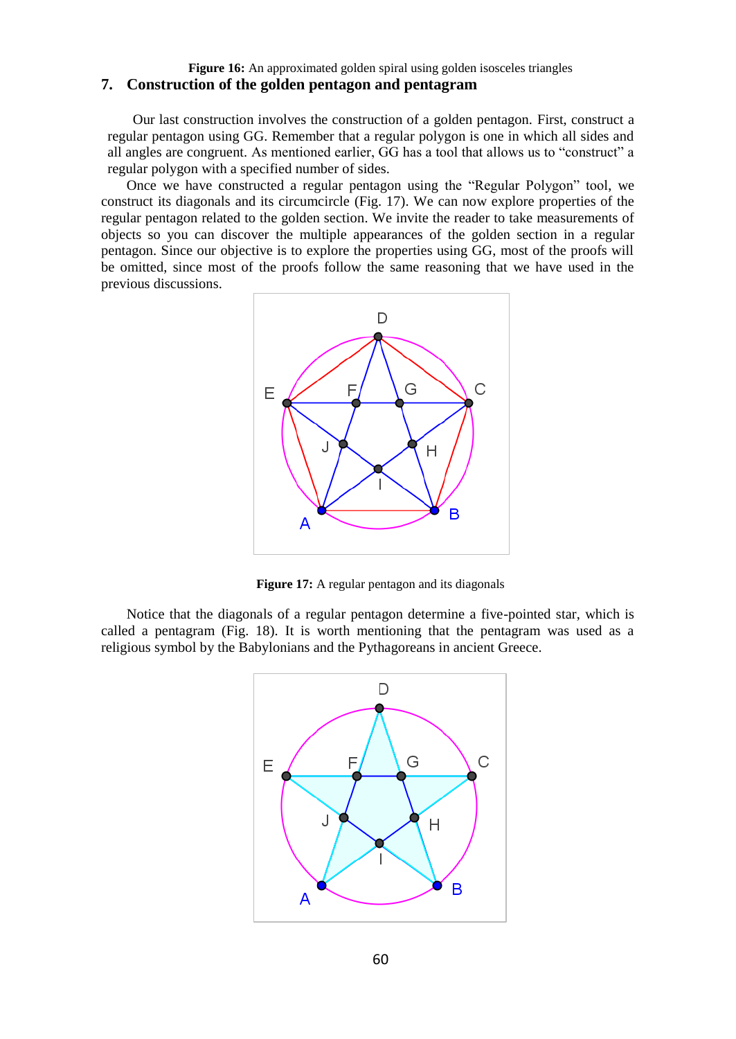#### **Figure 16:** An approximated golden spiral using golden isosceles triangles **7. Construction of the golden pentagon and pentagram**

Our last construction involves the construction of a golden pentagon. First, construct a regular pentagon using GG. Remember that a regular polygon is one in which all sides and all angles are congruent. As mentioned earlier, GG has a tool that allows us to "construct" a regular polygon with a specified number of sides.

Once we have constructed a regular pentagon using the "Regular Polygon" tool, we construct its diagonals and its circumcircle (Fig. 17). We can now explore properties of the regular pentagon related to the golden section. We invite the reader to take measurements of objects so you can discover the multiple appearances of the golden section in a regular pentagon. Since our objective is to explore the properties using GG, most of the proofs will be omitted, since most of the proofs follow the same reasoning that we have used in the previous discussions.



**Figure 17:** A regular pentagon and its diagonals

Notice that the diagonals of a regular pentagon determine a five-pointed star, which is called a pentagram (Fig. 18). It is worth mentioning that the pentagram was used as a religious symbol by the Babylonians and the Pythagoreans in ancient Greece.

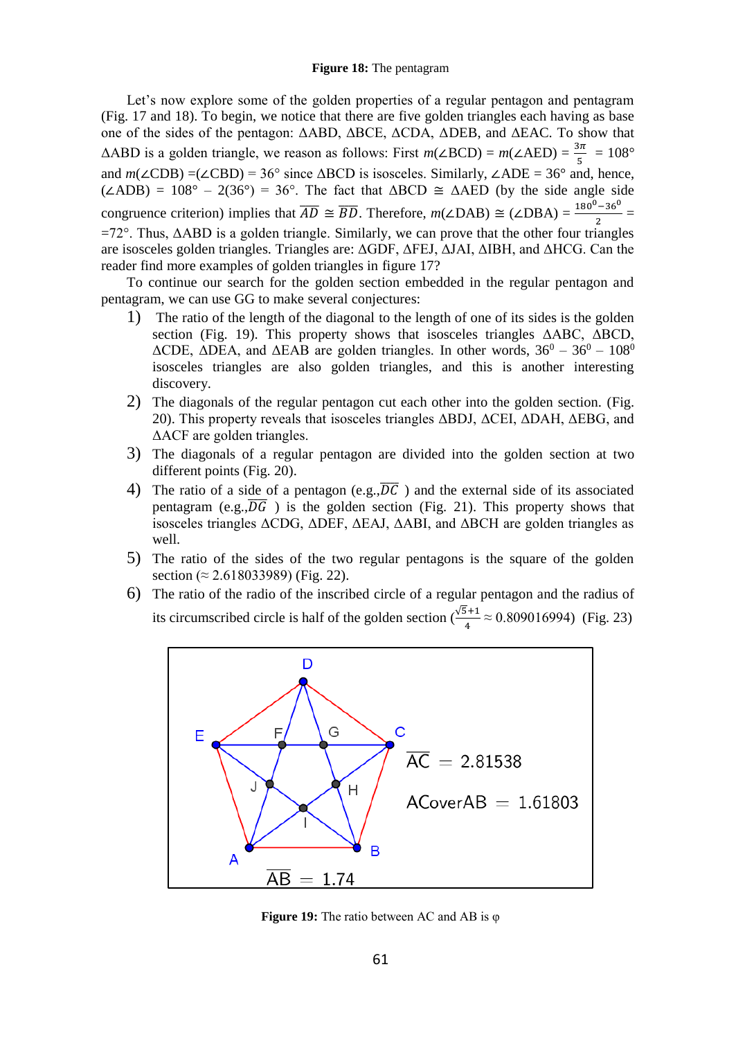Let's now explore some of the golden properties of a regular pentagon and pentagram (Fig. 17 and 18). To begin, we notice that there are five golden triangles each having as base one of the sides of the pentagon: ΔABD, ΔBCE, ΔCDA, ΔDEB, and ΔEAC. To show that  $\triangle ABD$  is a golden triangle, we reason as follows: First  $m(\angle BCD) = m(\angle AED) = \frac{3\pi}{5} = 108^{\circ}$ and *m*(∠CDB) =(∠CBD) = 36° since ΔBCD is isosceles. Similarly, ∠ADE = 36° and, hence, ( $\angle$ ADB) = 108° – 2(36°) = 36°. The fact that  $\triangle BCD \cong \triangle AED$  (by the side angle side congruence criterion) implies that  $\overline{AD} \cong \overline{BD}$ . Therefore,  $m(\angle DAB) \cong (\angle DBA) = \frac{180^0 - 36^0}{2} =$ =72°. Thus, ΔABD is a golden triangle. Similarly, we can prove that the other four triangles are isosceles golden triangles. Triangles are: ΔGDF, ΔFEJ, ΔJAI, ΔIBH, and ΔHCG. Can the reader find more examples of golden triangles in figure 17?

To continue our search for the golden section embedded in the regular pentagon and pentagram, we can use GG to make several conjectures:

- 1) The ratio of the length of the diagonal to the length of one of its sides is the golden section (Fig. 19). This property shows that isosceles triangles ΔABC, ΔBCD,  $ΔCDE$ ,  $ΔDEA$ , and  $ΔEAB$  are golden triangles. In other words,  $36^0 - 36^0 - 108^0$ isosceles triangles are also golden triangles, and this is another interesting discovery.
- 2) The diagonals of the regular pentagon cut each other into the golden section. (Fig. 20). This property reveals that isosceles triangles ΔBDJ, ΔCEI, ΔDAH, ΔEBG, and ΔACF are golden triangles.
- 3) The diagonals of a regular pentagon are divided into the golden section at two different points (Fig. 20).
- 4) The ratio of a side of a pentagon (e.g., $\overline{DC}$ ) and the external side of its associated pentagram (e.g., $\overline{DG}$ ) is the golden section (Fig. 21). This property shows that isosceles triangles ΔCDG, ΔDEF, ΔEAJ, ΔABI, and ΔBCH are golden triangles as well.
- 5) The ratio of the sides of the two regular pentagons is the square of the golden section (≈ 2.618033989) (Fig. 22).
- 6) The ratio of the radio of the inscribed circle of a regular pentagon and the radius of its circumscribed circle is half of the golden section  $\sqrt{\frac{5+1}{5}}$  $\frac{1}{4} \approx 0.809016994$  (Fig. 23)



**Figure 19:** The ratio between AC and AB is φ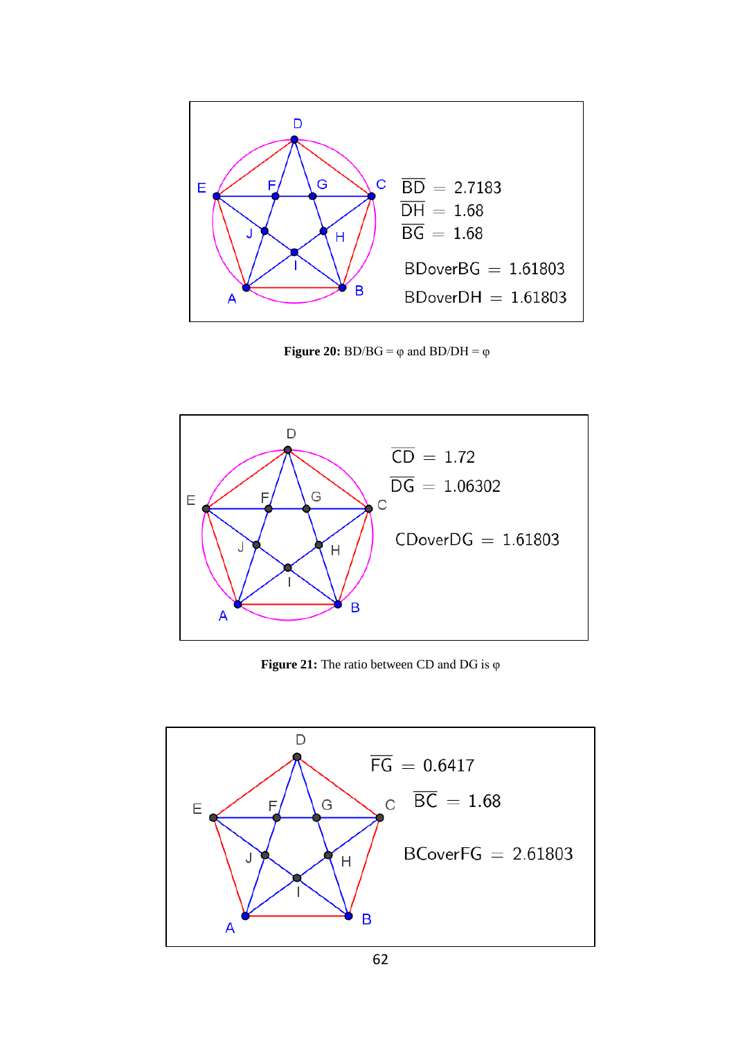

**Figure 20:**  $BD/BG = \varphi$  and  $BD/DH = \varphi$ 



**Figure 21:** The ratio between CD and DG is φ